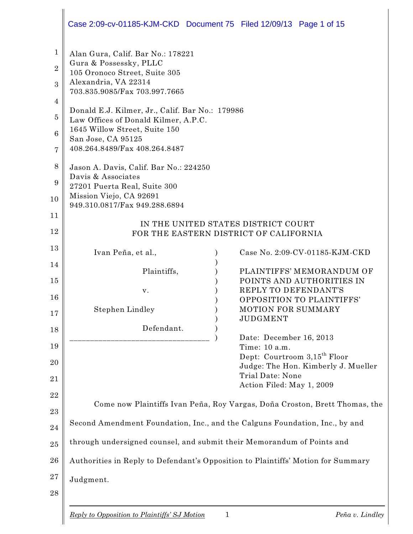|                                         | Case 2:09-cv-01185-KJM-CKD Document 75 Filed 12/09/13 Page 1 of 15                                                                                                              |
|-----------------------------------------|---------------------------------------------------------------------------------------------------------------------------------------------------------------------------------|
| $\mathbf 1$<br>$\overline{2}$<br>3<br>4 | Alan Gura, Calif. Bar No.: 178221<br>Gura & Possessky, PLLC<br>105 Oronoco Street, Suite 305<br>Alexandria, VA 22314<br>703.835.9085/Fax 703.997.7665                           |
| $\overline{5}$<br>$6\phantom{1}6$<br>7  | Donald E.J. Kilmer, Jr., Calif. Bar No.: 179986<br>Law Offices of Donald Kilmer, A.P.C.<br>1645 Willow Street, Suite 150<br>San Jose, CA 95125<br>408.264.8489/Fax 408.264.8487 |
| 8<br>9<br>10<br>11                      | Jason A. Davis, Calif. Bar No.: 224250<br>Davis & Associates<br>27201 Puerta Real, Suite 300<br>Mission Viejo, CA 92691<br>949.310.0817/Fax 949.288.6894                        |
| 12                                      | IN THE UNITED STATES DISTRICT COURT<br>FOR THE EASTERN DISTRICT OF CALIFORNIA                                                                                                   |
| 13<br>14                                | Ivan Peña, et al.,<br>Case No. 2:09-CV-01185-KJM-CKD                                                                                                                            |
| 15                                      | PLAINTIFFS' MEMORANDUM OF<br>Plaintiffs,<br>POINTS AND AUTHORITIES IN                                                                                                           |
| 16<br>17                                | REPLY TO DEFENDANT'S<br>v.<br>OPPOSITION TO PLAINTIFFS'<br>MOTION FOR SUMMARY<br>Stephen Lindley                                                                                |
| 18                                      | <b>JUDGMENT</b><br>Defendant.<br>Date: December 16, 2013                                                                                                                        |
| 19<br>20                                | Time: 10 a.m.<br>Dept: Courtroom 3,15 <sup>th</sup> Floor                                                                                                                       |
| 21                                      | Judge: The Hon. Kimberly J. Mueller<br>Trial Date: None<br>Action Filed: May 1, 2009                                                                                            |
| 22<br>23                                | Come now Plaintiffs Ivan Peña, Roy Vargas, Doña Croston, Brett Thomas, the                                                                                                      |
| 24                                      | Second Amendment Foundation, Inc., and the Calguns Foundation, Inc., by and                                                                                                     |
| 25                                      | through undersigned counsel, and submit their Memorandum of Points and                                                                                                          |
| 26<br>27                                | Authorities in Reply to Defendant's Opposition to Plaintiffs' Motion for Summary<br>Judgment.                                                                                   |
| 28                                      |                                                                                                                                                                                 |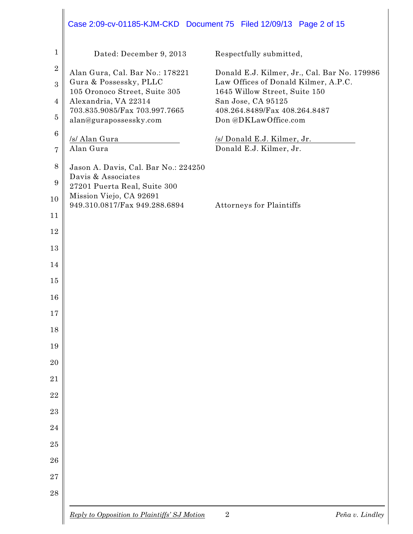|                  | Case 2:09-cv-01185-KJM-CKD Document 75 Filed 12/09/13 Page 2 of 15 |                                                                       |                 |
|------------------|--------------------------------------------------------------------|-----------------------------------------------------------------------|-----------------|
| $\mathbf{1}$     | Dated: December 9, 2013                                            | Respectfully submitted,                                               |                 |
| $\boldsymbol{2}$ | Alan Gura, Cal. Bar No.: 178221                                    | Donald E.J. Kilmer, Jr., Cal. Bar No. 179986                          |                 |
| 3                | Gura & Possessky, PLLC<br>105 Oronoco Street, Suite 305            | Law Offices of Donald Kilmer, A.P.C.<br>1645 Willow Street, Suite 150 |                 |
| 4                | Alexandria, VA 22314                                               | San Jose, CA 95125                                                    |                 |
| $\overline{5}$   | 703.835.9085/Fax 703.997.7665<br>alan@gurapossessky.com            | 408.264.8489/Fax 408.264.8487<br>Don @DKLawOffice.com                 |                 |
| $6\phantom{.}6$  | /s/ Alan Gura                                                      | /s/ Donald E.J. Kilmer, Jr.                                           |                 |
| 7                | Alan Gura                                                          | Donald E.J. Kilmer, Jr.                                               |                 |
| 8                | Jason A. Davis, Cal. Bar No.: 224250                               |                                                                       |                 |
| 9                | Davis & Associates<br>27201 Puerta Real, Suite 300                 |                                                                       |                 |
| 10               | Mission Viejo, CA 92691                                            |                                                                       |                 |
| 11               | 949.310.0817/Fax 949.288.6894                                      | <b>Attorneys for Plaintiffs</b>                                       |                 |
| 12               |                                                                    |                                                                       |                 |
| 13               |                                                                    |                                                                       |                 |
| 14               |                                                                    |                                                                       |                 |
| 15               |                                                                    |                                                                       |                 |
| 16               |                                                                    |                                                                       |                 |
| 17               |                                                                    |                                                                       |                 |
| 18               |                                                                    |                                                                       |                 |
| 19               |                                                                    |                                                                       |                 |
| 20               |                                                                    |                                                                       |                 |
| 21               |                                                                    |                                                                       |                 |
| 22               |                                                                    |                                                                       |                 |
| 23               |                                                                    |                                                                       |                 |
| 24               |                                                                    |                                                                       |                 |
| 25               |                                                                    |                                                                       |                 |
| 26               |                                                                    |                                                                       |                 |
| 27               |                                                                    |                                                                       |                 |
| 28               |                                                                    |                                                                       |                 |
|                  | Reply to Opposition to Plaintiffs' SJ Motion                       | $\overline{2}$                                                        | Peña v. Lindley |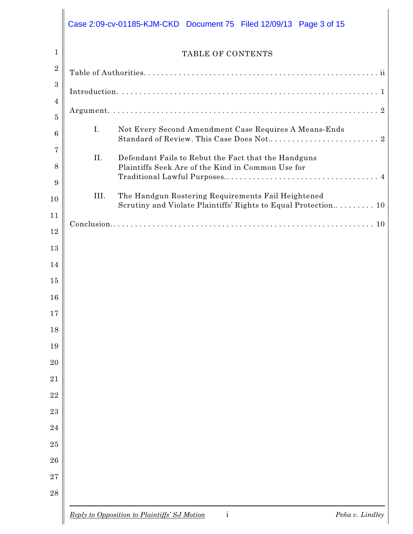|      | TABLE OF CONTENTS                                                                                                    |
|------|----------------------------------------------------------------------------------------------------------------------|
|      |                                                                                                                      |
|      |                                                                                                                      |
|      |                                                                                                                      |
| I.   | Not Every Second Amendment Case Requires A Means-Ends                                                                |
| II.  | Defendant Fails to Rebut the Fact that the Handguns<br>Plaintiffs Seek Are of the Kind in Common Use for             |
| III. | The Handgun Rostering Requirements Fail Heightened<br>Scrutiny and Violate Plaintiffs' Rights to Equal Protection 10 |
|      |                                                                                                                      |
|      |                                                                                                                      |
|      |                                                                                                                      |
|      |                                                                                                                      |
|      |                                                                                                                      |
|      |                                                                                                                      |
|      |                                                                                                                      |
|      |                                                                                                                      |
|      |                                                                                                                      |
|      |                                                                                                                      |
|      |                                                                                                                      |
|      |                                                                                                                      |
|      |                                                                                                                      |
|      |                                                                                                                      |
|      |                                                                                                                      |
|      |                                                                                                                      |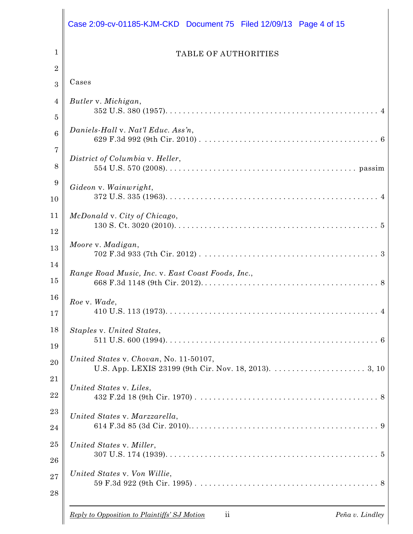|                     | Case 2:09-cv-01185-KJM-CKD Document 75 Filed 12/09/13 Page 4 of 15    |
|---------------------|-----------------------------------------------------------------------|
| 1                   | <b>TABLE OF AUTHORITIES</b>                                           |
| $\overline{2}$<br>3 | Cases                                                                 |
| 4                   | Butler v. Michigan,                                                   |
| 5                   |                                                                       |
| $6\phantom{.}6$     | Daniels-Hall v. Nat'l Educ. Ass'n,                                    |
| 7                   | District of Columbia v. Heller,                                       |
| 8                   |                                                                       |
| 9                   | Gideon v. Wainwright,                                                 |
| 10                  |                                                                       |
| 11                  | McDonald v. City of Chicago,                                          |
| 12                  |                                                                       |
| 13                  | Moore v. Madigan,                                                     |
| 14                  | Range Road Music, Inc. v. East Coast Foods, Inc.,                     |
| 15                  |                                                                       |
| 16                  | Roe v. Wade,                                                          |
| 17                  |                                                                       |
| 18                  | Staples v. United States,                                             |
| 19                  |                                                                       |
| 20                  | United States v. Chovan, No. 11-50107,                                |
| 21                  | United States v. Liles,                                               |
| 22                  |                                                                       |
| 23                  | United States v. Marzzarella,                                         |
| 24                  |                                                                       |
| 25                  | United States v. Miller,                                              |
| 26                  |                                                                       |
| 27                  | United States v. Von Willie,                                          |
| 28                  |                                                                       |
|                     | Reply to Opposition to Plaintiffs' SJ Motion<br>Peña v. Lindley<br>11 |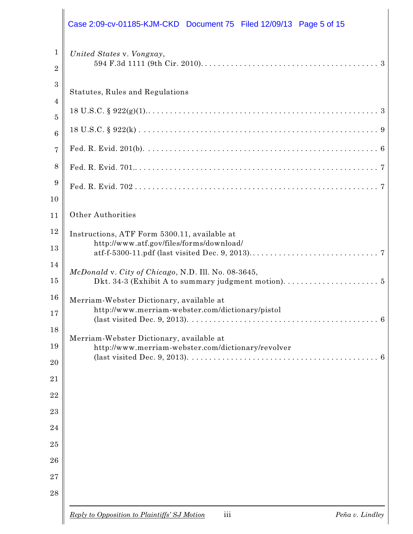|                                                                                                            | Case 2:09-cv-01185-KJM-CKD Document 75 Filed 12/09/13 Page 5 of 15                                                                |
|------------------------------------------------------------------------------------------------------------|-----------------------------------------------------------------------------------------------------------------------------------|
| $\mathbf{1}$<br>$\overline{2}$                                                                             | United States v. Vongxay,                                                                                                         |
| $\boldsymbol{3}$<br>$\overline{4}$                                                                         | Statutes, Rules and Regulations                                                                                                   |
| $\overline{5}$                                                                                             |                                                                                                                                   |
| $6\phantom{1}6$                                                                                            |                                                                                                                                   |
|                                                                                                            |                                                                                                                                   |
| 8                                                                                                          |                                                                                                                                   |
| $\boldsymbol{9}$                                                                                           |                                                                                                                                   |
| 10                                                                                                         |                                                                                                                                   |
| 11                                                                                                         | <b>Other Authorities</b>                                                                                                          |
| 12<br>13                                                                                                   | Instructions, ATF Form 5300.11, available at<br>http://www.atf.gov/files/forms/download/                                          |
| 14<br>15                                                                                                   | McDonald v. City of Chicago, N.D. Ill. No. 08-3645,                                                                               |
| 16<br>17                                                                                                   | Merriam-Webster Dictionary, available at<br>http://www.merriam-webster.com/dictionary/pistol                                      |
| 18<br>Merriam-Webster Dictionary, available at<br>19<br>http://www.merriam-webster.com/dictionary/revolver | (last visited Dec. 9, 2013). $\ldots$ . $\ldots$ . $\ldots$ . $\ldots$ . $\ldots$ . $\ldots$ . $\ldots$ . $\ldots$ . $\ldots$ . 6 |
| 20                                                                                                         |                                                                                                                                   |
|                                                                                                            |                                                                                                                                   |
|                                                                                                            |                                                                                                                                   |
| 23<br>24                                                                                                   |                                                                                                                                   |
|                                                                                                            |                                                                                                                                   |
|                                                                                                            |                                                                                                                                   |
|                                                                                                            |                                                                                                                                   |
| 28                                                                                                         |                                                                                                                                   |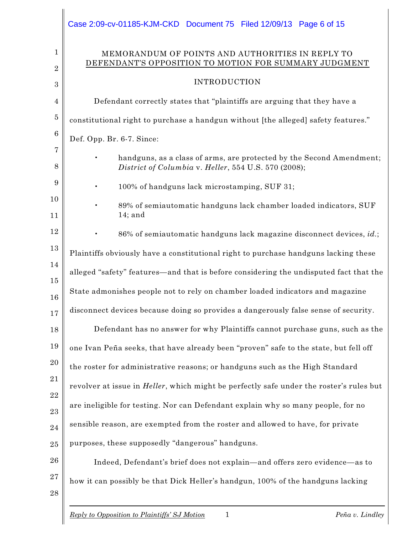|                                | Case 2:09-cv-01185-KJM-CKD Document 75 Filed 12/09/13 Page 6 of 15                                                           |
|--------------------------------|------------------------------------------------------------------------------------------------------------------------------|
| $\mathbf{1}$<br>$\overline{2}$ | MEMORANDUM OF POINTS AND AUTHORITIES IN REPLY TO<br>DEFENDANT'S OPPOSITION TO MOTION FOR SUMMARY JUDGMENT                    |
| 3                              | <b>INTRODUCTION</b>                                                                                                          |
| $\overline{4}$                 | Defendant correctly states that "plaintiffs are arguing that they have a                                                     |
| $\overline{5}$                 | constitutional right to purchase a handgun without [the alleged] safety features."                                           |
| $6\phantom{.}6$                | Def. Opp. Br. 6-7. Since:                                                                                                    |
| 7<br>8                         | handguns, as a class of arms, are protected by the Second Amendment;<br>District of Columbia v. Heller, 554 U.S. 570 (2008); |
| 9                              | 100% of handguns lack microstamping, SUF 31;                                                                                 |
| 10<br>11                       | 89% of semiautomatic handguns lack chamber loaded indicators, SUF<br>$14;$ and                                               |
| 12                             | 86% of semiautomatic handguns lack magazine disconnect devices, id.;                                                         |
| 13                             | Plaintiffs obviously have a constitutional right to purchase handguns lacking these                                          |
| 14<br>15                       | alleged "safety" features—and that is before considering the undisputed fact that the                                        |
| 16                             | State admonishes people not to rely on chamber loaded indicators and magazine                                                |
| 17                             | disconnect devices because doing so provides a dangerously false sense of security.                                          |
| 18                             | Defendant has no answer for why Plaintiffs cannot purchase guns, such as the                                                 |
| 19                             | one Ivan Peña seeks, that have already been "proven" safe to the state, but fell off                                         |
| <b>20</b>                      | the roster for administrative reasons; or handguns such as the High Standard                                                 |
| 21                             | revolver at issue in <i>Heller</i> , which might be perfectly safe under the roster's rules but                              |
| 22                             | are ineligible for testing. Nor can Defendant explain why so many people, for no                                             |
| 23                             | sensible reason, are exempted from the roster and allowed to have, for private                                               |
| 24<br>25                       | purposes, these supposedly "dangerous" handguns.                                                                             |
| 26                             | Indeed, Defendant's brief does not explain-and offers zero evidence-as to                                                    |
| 27                             |                                                                                                                              |
| 28                             | how it can possibly be that Dick Heller's handgun, 100% of the handguns lacking                                              |
|                                |                                                                                                                              |

*Reply to Opposition to Plaintiffs' SJ Motion* 1 *Peña v. Lindley*

 $\begin{array}{c} \hline \end{array}$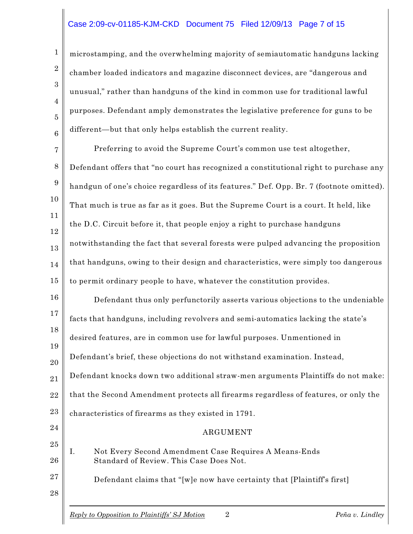### Case 2:09-cv-01185-KJM-CKD Document 75 Filed 12/09/13 Page 7 of 15

1

2

3

4

5

6

27

28

microstamping, and the overwhelming majority of semiautomatic handguns lacking chamber loaded indicators and magazine disconnect devices, are "dangerous and unusual," rather than handguns of the kind in common use for traditional lawful purposes. Defendant amply demonstrates the legislative preference for guns to be different—but that only helps establish the current reality.

7 8 9 10 11 12 13 14 15 Preferring to avoid the Supreme Court's common use test altogether, Defendant offers that "no court has recognized a constitutional right to purchase any handgun of one's choice regardless of its features." Def. Opp. Br. 7 (footnote omitted). That much is true as far as it goes. But the Supreme Court is a court. It held, like the D.C. Circuit before it, that people enjoy a right to purchase handguns notwithstanding the fact that several forests were pulped advancing the proposition that handguns, owing to their design and characteristics, were simply too dangerous to permit ordinary people to have, whatever the constitution provides.

16 17 18 19 20 21 22 23 24 Defendant thus only perfunctorily asserts various objections to the undeniable facts that handguns, including revolvers and semi-automatics lacking the state's desired features, are in common use for lawful purposes. Unmentioned in Defendant's brief, these objections do not withstand examination. Instead, Defendant knocks down two additional straw-men arguments Plaintiffs do not make: that the Second Amendment protects all firearms regardless of features, or only the characteristics of firearms as they existed in 1791. ARGUMENT

#### 25 26 I. Not Every Second Amendment Case Requires A Means-Ends Standard of Review. This Case Does Not.

Defendant claims that "[w]e now have certainty that [Plaintiff's first]

*Reply to Opposition to Plaintiffs' SJ Motion* 2 *Peña v. Lindley*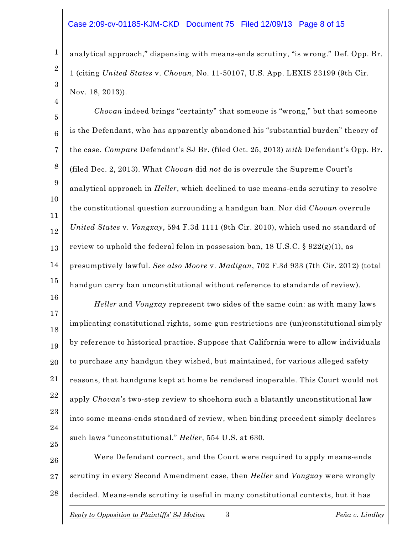#### Case 2:09-cv-01185-KJM-CKD Document 75 Filed 12/09/13 Page 8 of 15

1

2

3

4

analytical approach," dispensing with means-ends scrutiny, "is wrong." Def. Opp. Br. 1 (citing *United States* v. *Chovan*, No. 11-50107, U.S. App. LEXIS 23199 (9th Cir. Nov. 18, 2013)).

5 6 7 8 9 10 11 12 13 14 15 *Chovan* indeed brings "certainty" that someone is "wrong," but that someone is the Defendant, who has apparently abandoned his "substantial burden" theory of the case. *Compare* Defendant's SJ Br. (filed Oct. 25, 2013) *with* Defendant's Opp. Br. (filed Dec. 2, 2013). What *Chovan* did *not* do is overrule the Supreme Court's analytical approach in *Heller*, which declined to use means-ends scrutiny to resolve the constitutional question surrounding a handgun ban. Nor did *Chovan* overrule *United States* v. *Vongxay*, 594 F.3d 1111 (9th Cir. 2010), which used no standard of review to uphold the federal felon in possession ban, 18 U.S.C. §  $922(g)(1)$ , as presumptively lawful. *See also Moore* v. *Madigan*, 702 F.3d 933 (7th Cir. 2012) (total handgun carry ban unconstitutional without reference to standards of review).

16 17 18 19 20 21 22 23 24 25 *Heller* and *Vongxay* represent two sides of the same coin: as with many laws implicating constitutional rights, some gun restrictions are (un)constitutional simply by reference to historical practice. Suppose that California were to allow individuals to purchase any handgun they wished, but maintained, for various alleged safety reasons, that handguns kept at home be rendered inoperable. This Court would not apply *Chovan*'s two-step review to shoehorn such a blatantly unconstitutional law into some means-ends standard of review, when binding precedent simply declares such laws "unconstitutional." *Heller*, 554 U.S. at 630.

26 27 28 Were Defendant correct, and the Court were required to apply means-ends scrutiny in every Second Amendment case, then *Heller* and *Vongxay* were wrongly decided. Means-ends scrutiny is useful in many constitutional contexts, but it has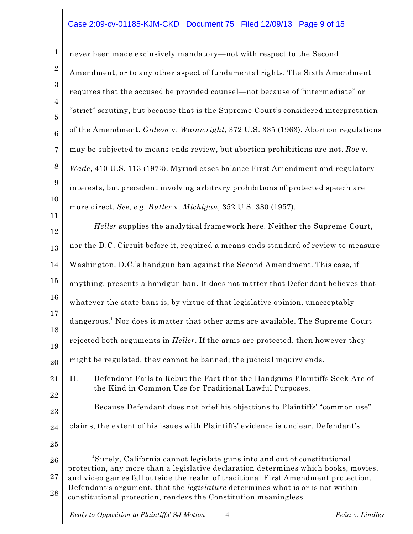# Case 2:09-cv-01185-KJM-CKD Document 75 Filed 12/09/13 Page 9 of 15

1 2 3 4 5 6 7 8 9 10 11 12 13 14 15 16 17 18 19 20 21 22 23 24 25 26 27 28 never been made exclusively mandatory—not with respect to the Second Amendment, or to any other aspect of fundamental rights. The Sixth Amendment requires that the accused be provided counsel—not because of "intermediate" or "strict" scrutiny, but because that is the Supreme Court's considered interpretation of the Amendment. *Gideon* v. *Wainwright*, 372 U.S. 335 (1963). Abortion regulations may be subjected to means-ends review, but abortion prohibitions are not. *Roe* v. *Wade*, 410 U.S. 113 (1973). Myriad cases balance First Amendment and regulatory interests, but precedent involving arbitrary prohibitions of protected speech are more direct. *See*, *e.g. Butler* v. *Michigan*, 352 U.S. 380 (1957). *Heller* supplies the analytical framework here. Neither the Supreme Court, nor the D.C. Circuit before it, required a means-ends standard of review to measure Washington, D.C.'s handgun ban against the Second Amendment. This case, if anything, presents a handgun ban. It does not matter that Defendant believes that whatever the state bans is, by virtue of that legislative opinion, unacceptably dangerous. $^{\rm 1}$  Nor does it matter that other arms are available. The Supreme Court rejected both arguments in *Heller*. If the arms are protected, then however they might be regulated, they cannot be banned; the judicial inquiry ends. II. Defendant Fails to Rebut the Fact that the Handguns Plaintiffs Seek Are of the Kind in Common Use for Traditional Lawful Purposes. Because Defendant does not brief his objections to Plaintiffs' "common use" claims, the extent of his issues with Plaintiffs' evidence is unclear. Defendant's <sup>1</sup>Surely, California cannot legislate guns into and out of constitutional protection, any more than a legislative declaration determines which books, movies, and video games fall outside the realm of traditional First Amendment protection. Defendant's argument, that the *legislature* determines what is or is not within constitutional protection, renders the Constitution meaningless.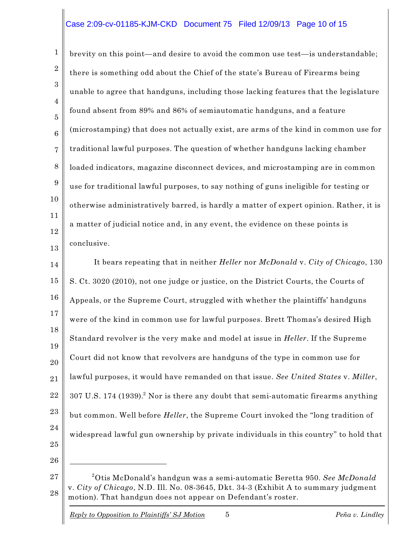# Case 2:09-cv-01185-KJM-CKD Document 75 Filed 12/09/13 Page 10 of 15

1 2 3 4 5 6 7 8 9 10 11 12 13 brevity on this point—and desire to avoid the common use test—is understandable; there is something odd about the Chief of the state's Bureau of Firearms being unable to agree that handguns, including those lacking features that the legislature found absent from 89% and 86% of semiautomatic handguns, and a feature (microstamping) that does not actually exist, are arms of the kind in common use for traditional lawful purposes. The question of whether handguns lacking chamber loaded indicators, magazine disconnect devices, and microstamping are in common use for traditional lawful purposes, to say nothing of guns ineligible for testing or otherwise administratively barred, is hardly a matter of expert opinion. Rather, it is a matter of judicial notice and, in any event, the evidence on these points is conclusive.

14 15 16 17 18 19 20 21 22 23 24 25 It bears repeating that in neither *Heller* nor *McDonald* v. *City of Chicago*, 130 S. Ct. 3020 (2010), not one judge or justice, on the District Courts, the Courts of Appeals, or the Supreme Court, struggled with whether the plaintiffs' handguns were of the kind in common use for lawful purposes. Brett Thomas's desired High Standard revolver is the very make and model at issue in *Heller*. If the Supreme Court did not know that revolvers are handguns of the type in common use for lawful purposes, it would have remanded on that issue. *See United States* v. *Miller*,  $307$  U.S. 174 (1939).<sup>2</sup> Nor is there any doubt that semi-automatic firearms anything but common. Well before *Heller*, the Supreme Court invoked the "long tradition of widespread lawful gun ownership by private individuals in this country" to hold that

26

*Reply to Opposition to Plaintiffs' SJ Motion* 5 *Peña v. Lindley*

<sup>27</sup> 28  $^2$ Otis McDonald's handgun was a semi-automatic Beretta 950. *See McDonald* v. *City of Chicago*, N.D. Ill. No. 08-3645, Dkt. 34-3 (Exhibit A to summary judgment motion). That handgun does not appear on Defendant's roster.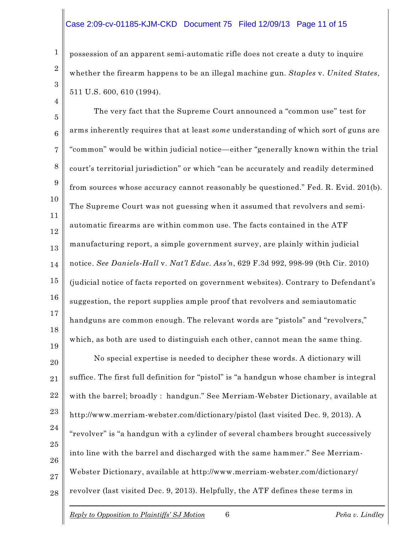## Case 2:09-cv-01185-KJM-CKD Document 75 Filed 12/09/13 Page 11 of 15

1

2

3

4

possession of an apparent semi-automatic rifle does not create a duty to inquire whether the firearm happens to be an illegal machine gun. *Staples* v. *United States*, 511 U.S. 600, 610 (1994).

5 6 7 8 9 10 11 12 13 14 15 16 17 18 19 The very fact that the Supreme Court announced a "common use" test for arms inherently requires that at least *some* understanding of which sort of guns are "common" would be within judicial notice—either "generally known within the trial court's territorial jurisdiction" or which "can be accurately and readily determined from sources whose accuracy cannot reasonably be questioned." Fed. R. Evid. 201(b). The Supreme Court was not guessing when it assumed that revolvers and semiautomatic firearms are within common use. The facts contained in the ATF manufacturing report, a simple government survey, are plainly within judicial notice. *See Daniels-Hall* v. *Nat'l Educ. Ass'n*, 629 F.3d 992, 998-99 (9th Cir. 2010) (judicial notice of facts reported on government websites). Contrary to Defendant's suggestion, the report supplies ample proof that revolvers and semiautomatic handguns are common enough. The relevant words are "pistols" and "revolvers," which, as both are used to distinguish each other, cannot mean the same thing.

20 21 22 23 24 25 26 27 28 No special expertise is needed to decipher these words. A dictionary will suffice. The first full definition for "pistol" is "a handgun whose chamber is integral with the barrel; broadly : handgun." See Merriam-Webster Dictionary, available at http://www.merriam-webster.com/dictionary/pistol (last visited Dec. 9, 2013). A "revolver" is "a handgun with a cylinder of several chambers brought successively into line with the barrel and discharged with the same hammer." See Merriam-Webster Dictionary, available at http://www.merriam-webster.com/dictionary/ revolver (last visited Dec. 9, 2013). Helpfully, the ATF defines these terms in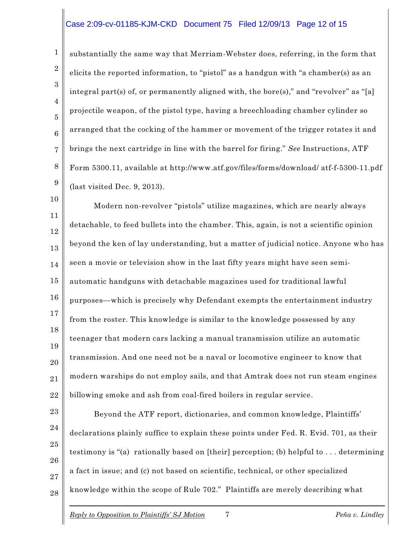#### Case 2:09-cv-01185-KJM-CKD Document 75 Filed 12/09/13 Page 12 of 15

1 2 3 4 5 6 7 8 9 substantially the same way that Merriam-Webster does, referring, in the form that elicits the reported information, to "pistol" as a handgun with "a chamber(s) as an integral part(s) of, or permanently aligned with, the bore(s)," and "revolver" as "[a] projectile weapon, of the pistol type, having a breechloading chamber cylinder so arranged that the cocking of the hammer or movement of the trigger rotates it and brings the next cartridge in line with the barrel for firing." *See* Instructions, ATF Form 5300.11, available at http://www.atf.gov/files/forms/download/ atf-f-5300-11.pdf (last visited Dec. 9, 2013).

10 11 12 13 14 15 16 17 18 19 20 21 22 Modern non-revolver "pistols" utilize magazines, which are nearly always detachable, to feed bullets into the chamber. This, again, is not a scientific opinion beyond the ken of lay understanding, but a matter of judicial notice. Anyone who has seen a movie or television show in the last fifty years might have seen semiautomatic handguns with detachable magazines used for traditional lawful purposes—which is precisely why Defendant exempts the entertainment industry from the roster. This knowledge is similar to the knowledge possessed by any teenager that modern cars lacking a manual transmission utilize an automatic transmission. And one need not be a naval or locomotive engineer to know that modern warships do not employ sails, and that Amtrak does not run steam engines billowing smoke and ash from coal-fired boilers in regular service.

23 24 25 26 27 28 Beyond the ATF report, dictionaries, and common knowledge, Plaintiffs' declarations plainly suffice to explain these points under Fed. R. Evid. 701, as their testimony is "(a) rationally based on [their] perception; (b) helpful to . . . determining a fact in issue; and (c) not based on scientific, technical, or other specialized knowledge within the scope of Rule 702." Plaintiffs are merely describing what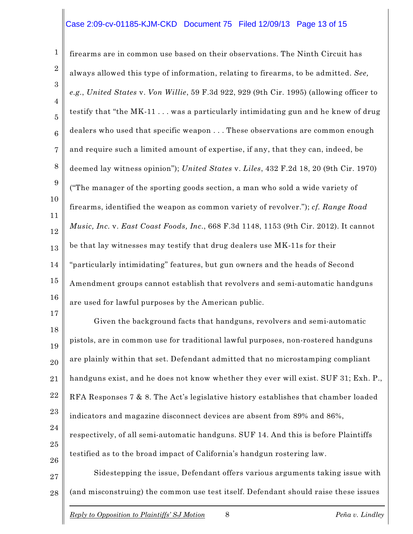## Case 2:09-cv-01185-KJM-CKD Document 75 Filed 12/09/13 Page 13 of 15

1 2 3 4 5 6 7 8 9 10 11 12 13 14 15 16 17 firearms are in common use based on their observations. The Ninth Circuit has always allowed this type of information, relating to firearms, to be admitted. *See, e.g.*, *United States* v. *Von Willie*, 59 F.3d 922, 929 (9th Cir. 1995) (allowing officer to testify that "the MK-11 . . . was a particularly intimidating gun and he knew of drug dealers who used that specific weapon . . . These observations are common enough and require such a limited amount of expertise, if any, that they can, indeed, be deemed lay witness opinion"); *United States* v. *Liles*, 432 F.2d 18, 20 (9th Cir. 1970) ("The manager of the sporting goods section, a man who sold a wide variety of firearms, identified the weapon as common variety of revolver."); *cf. Range Road Music, Inc.* v. *East Coast Foods, Inc.*, 668 F.3d 1148, 1153 (9th Cir. 2012). It cannot be that lay witnesses may testify that drug dealers use MK-11s for their "particularly intimidating" features, but gun owners and the heads of Second Amendment groups cannot establish that revolvers and semi-automatic handguns are used for lawful purposes by the American public.

18 19 20 21 22 23 24 25 26 27 Given the background facts that handguns, revolvers and semi-automatic pistols, are in common use for traditional lawful purposes, non-rostered handguns are plainly within that set. Defendant admitted that no microstamping compliant handguns exist, and he does not know whether they ever will exist. SUF 31; Exh. P., RFA Responses 7 & 8. The Act's legislative history establishes that chamber loaded indicators and magazine disconnect devices are absent from 89% and 86%, respectively, of all semi-automatic handguns. SUF 14. And this is before Plaintiffs testified as to the broad impact of California's handgun rostering law. Sidestepping the issue, Defendant offers various arguments taking issue with

28 (and misconstruing) the common use test itself. Defendant should raise these issues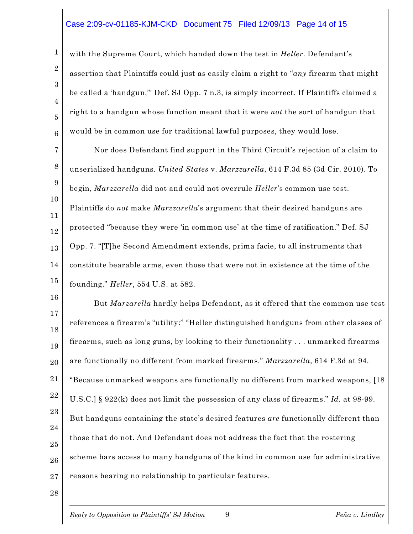# Case 2:09-cv-01185-KJM-CKD Document 75 Filed 12/09/13 Page 14 of 15

with the Supreme Court, which handed down the test in *Heller*. Defendant's assertion that Plaintiffs could just as easily claim a right to "*any* firearm that might be called a 'handgun,'" Def. SJ Opp. 7 n.3, is simply incorrect. If Plaintiffs claimed a right to a handgun whose function meant that it were *not* the sort of handgun that would be in common use for traditional lawful purposes, they would lose.

7 8 9 10 11 12 13 14 15 Nor does Defendant find support in the Third Circuit's rejection of a claim to unserialized handguns. *United States* v. *Marzzarella*, 614 F.3d 85 (3d Cir. 2010). To begin, *Marzzarella* did not and could not overrule *Heller*'s common use test. Plaintiffs do *not* make *Marzzarella*'s argument that their desired handguns are protected "because they were 'in common use' at the time of ratification." Def. SJ Opp. 7. "[T]he Second Amendment extends, prima facie, to all instruments that constitute bearable arms, even those that were not in existence at the time of the founding." *Heller*, 554 U.S. at 582.

16 17 18 19 20 21 22 23 24 25 26 27 But *Marzarella* hardly helps Defendant, as it offered that the common use test references a firearm's "utility:" "Heller distinguished handguns from other classes of firearms, such as long guns, by looking to their functionality . . . unmarked firearms are functionally no different from marked firearms." *Marzzarella*, 614 F.3d at 94. "Because unmarked weapons are functionally no different from marked weapons, [18 U.S.C.] § 922(k) does not limit the possession of any class of firearms." *Id.* at 98-99. But handguns containing the state's desired features *are* functionally different than those that do not. And Defendant does not address the fact that the rostering scheme bars access to many handguns of the kind in common use for administrative reasons bearing no relationship to particular features.

28

1

2

3

4

5

6